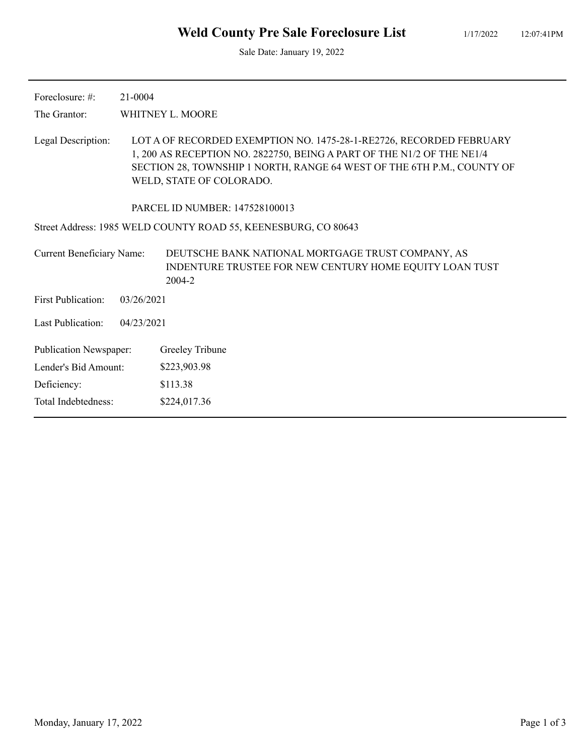Sale Date: January 19, 2022

| Foreclosure: $\#$ :              | 21-0004    |                                                                                                                                                                                                                                                     |
|----------------------------------|------------|-----------------------------------------------------------------------------------------------------------------------------------------------------------------------------------------------------------------------------------------------------|
| The Grantor:                     |            | WHITNEY L. MOORE                                                                                                                                                                                                                                    |
| Legal Description:               |            | LOT A OF RECORDED EXEMPTION NO. 1475-28-1-RE2726, RECORDED FEBRUARY<br>1, 200 AS RECEPTION NO. 2822750, BEING A PART OF THE N1/2 OF THE NE1/4<br>SECTION 28, TOWNSHIP 1 NORTH, RANGE 64 WEST OF THE 6TH P.M., COUNTY OF<br>WELD, STATE OF COLORADO. |
|                                  |            | PARCEL ID NUMBER: 147528100013                                                                                                                                                                                                                      |
|                                  |            | Street Address: 1985 WELD COUNTY ROAD 55, KEENESBURG, CO 80643                                                                                                                                                                                      |
| <b>Current Beneficiary Name:</b> |            | DEUTSCHE BANK NATIONAL MORTGAGE TRUST COMPANY, AS<br>INDENTURE TRUSTEE FOR NEW CENTURY HOME EQUITY LOAN TUST<br>2004-2                                                                                                                              |
| <b>First Publication:</b>        | 03/26/2021 |                                                                                                                                                                                                                                                     |
| Last Publication:                | 04/23/2021 |                                                                                                                                                                                                                                                     |
| <b>Publication Newspaper:</b>    |            | Greeley Tribune                                                                                                                                                                                                                                     |
| Lender's Bid Amount:             |            | \$223,903.98                                                                                                                                                                                                                                        |
| Deficiency:                      |            | \$113.38                                                                                                                                                                                                                                            |
| Total Indebtedness:              |            | \$224,017.36                                                                                                                                                                                                                                        |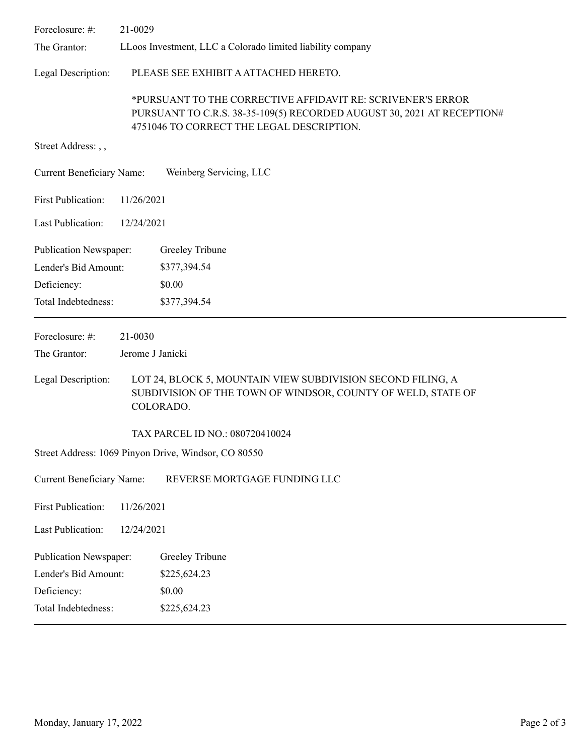| Foreclosure: #:                  | 21-0029          |                                                                                                                                                                                    |  |
|----------------------------------|------------------|------------------------------------------------------------------------------------------------------------------------------------------------------------------------------------|--|
| The Grantor:                     |                  | LLoos Investment, LLC a Colorado limited liability company                                                                                                                         |  |
| Legal Description:               |                  | PLEASE SEE EXHIBIT A ATTACHED HERETO.                                                                                                                                              |  |
|                                  |                  | *PURSUANT TO THE CORRECTIVE AFFIDAVIT RE: SCRIVENER'S ERROR<br>PURSUANT TO C.R.S. 38-35-109(5) RECORDED AUGUST 30, 2021 AT RECEPTION#<br>4751046 TO CORRECT THE LEGAL DESCRIPTION. |  |
| Street Address: , ,              |                  |                                                                                                                                                                                    |  |
| <b>Current Beneficiary Name:</b> |                  | Weinberg Servicing, LLC                                                                                                                                                            |  |
| <b>First Publication:</b>        | 11/26/2021       |                                                                                                                                                                                    |  |
| <b>Last Publication:</b>         | 12/24/2021       |                                                                                                                                                                                    |  |
| <b>Publication Newspaper:</b>    |                  | Greeley Tribune                                                                                                                                                                    |  |
| Lender's Bid Amount:             |                  | \$377,394.54                                                                                                                                                                       |  |
| Deficiency:                      |                  | \$0.00                                                                                                                                                                             |  |
| Total Indebtedness:              |                  | \$377,394.54                                                                                                                                                                       |  |
| Foreclosure: #:                  | 21-0030          |                                                                                                                                                                                    |  |
| The Grantor:                     | Jerome J Janicki |                                                                                                                                                                                    |  |
| Legal Description:               |                  | LOT 24, BLOCK 5, MOUNTAIN VIEW SUBDIVISION SECOND FILING, A<br>SUBDIVISION OF THE TOWN OF WINDSOR, COUNTY OF WELD, STATE OF<br>COLORADO.                                           |  |
|                                  |                  | TAX PARCEL ID NO.: 080720410024                                                                                                                                                    |  |
|                                  |                  | Street Address: 1069 Pinyon Drive, Windsor, CO 80550                                                                                                                               |  |
| <b>Current Beneficiary Name:</b> |                  | REVERSE MORTGAGE FUNDING LLC                                                                                                                                                       |  |
| <b>First Publication:</b>        |                  |                                                                                                                                                                                    |  |
|                                  | 11/26/2021       |                                                                                                                                                                                    |  |
| <b>Last Publication:</b>         | 12/24/2021       |                                                                                                                                                                                    |  |
| Publication Newspaper:           |                  | Greeley Tribune                                                                                                                                                                    |  |
| Lender's Bid Amount:             |                  | \$225,624.23                                                                                                                                                                       |  |
| Deficiency:                      |                  | \$0.00                                                                                                                                                                             |  |